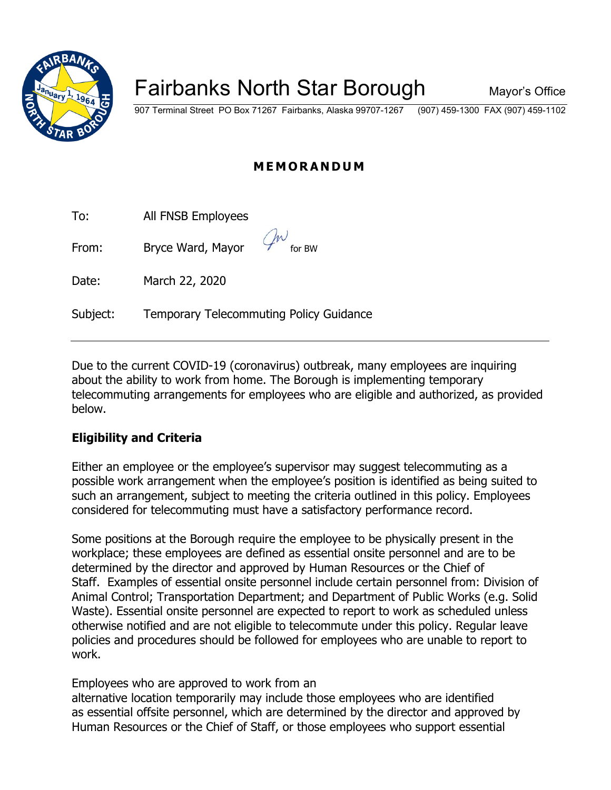

# Fairbanks North Star Borough Mayor's Office

907 Terminal Street PO Box 71267 Fairbanks, Alaska 99707-1267 (907) 459-1300 FAX (907) 459-1102

## **MEMORANDUM**

| To: | All FNSB Employees |
|-----|--------------------|
|-----|--------------------|

From: Bryce Ward, Mayor

Date: March 22, 2020

Subject: Temporary Telecommuting Policy Guidance

Due to the current COVID-19 (coronavirus) outbreak, many employees are inquiring about the ability to work from home. The Borough is implementing temporary telecommuting arrangements for employees who are eligible and authorized, as provided below.

## **Eligibility and Criteria**

Either an employee or the employee's supervisor may suggest telecommuting as a possible work arrangement when the employee's position is identified as being suited to such an arrangement, subject to meeting the criteria outlined in this policy. Employees considered for telecommuting must have a satisfactory performance record.

Some positions at the Borough require the employee to be physically present in the workplace; these employees are defined as essential onsite personnel and are to be determined by the director and approved by Human Resources or the Chief of Staff. Examples of essential onsite personnel include certain personnel from: Division of Animal Control; Transportation Department; and Department of Public Works (e.g. Solid Waste). Essential onsite personnel are expected to report to work as scheduled unless otherwise notified and are not eligible to telecommute under this policy. Regular leave policies and procedures should be followed for employees who are unable to report to work.

Employees who are approved to work from an

alternative location temporarily may include those employees who are identified as essential offsite personnel, which are determined by the director and approved by Human Resources or the Chief of Staff, or those employees who support essential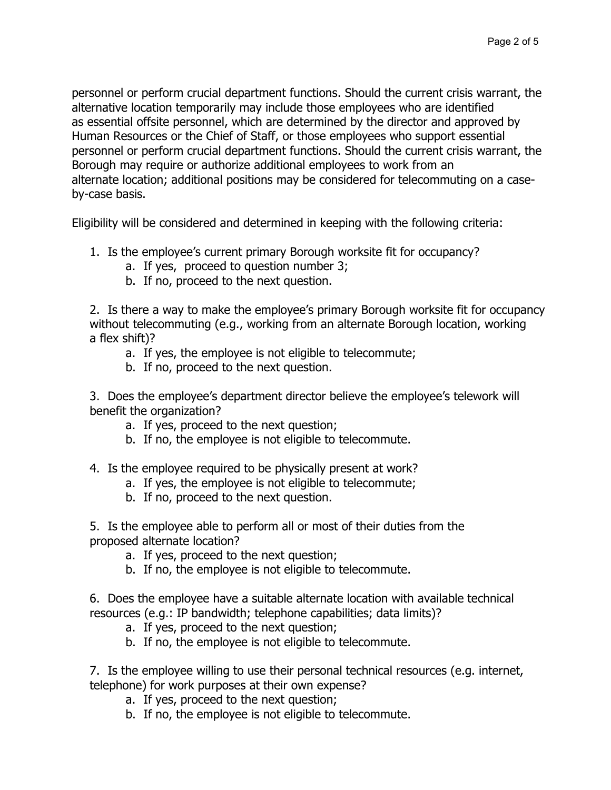personnel or perform crucial department functions. Should the current crisis warrant, the alternative location temporarily may include those employees who are identified as essential offsite personnel, which are determined by the director and approved by Human Resources or the Chief of Staff, or those employees who support essential personnel or perform crucial department functions. Should the current crisis warrant, the Borough may require or authorize additional employees to work from an alternate location; additional positions may be considered for telecommuting on a caseby-case basis.

Eligibility will be considered and determined in keeping with the following criteria:

- 1. Is the employee's current primary Borough worksite fit for occupancy?
	- a. If yes, proceed to question number 3;
	- b. If no, proceed to the next question.

2. Is there a way to make the employee's primary Borough worksite fit for occupancy without telecommuting (e.g., working from an alternate Borough location, working a flex shift)?

- a. If yes, the employee is not eligible to telecommute;
- b. If no, proceed to the next question.

3. Does the employee's department director believe the employee's telework will benefit the organization?

- a. If yes, proceed to the next question;
- b. If no, the employee is not eligible to telecommute.
- 4. Is the employee required to be physically present at work?
	- a. If yes, the employee is not eligible to telecommute;
	- b. If no, proceed to the next question.

5. Is the employee able to perform all or most of their duties from the proposed alternate location?

- a. If yes, proceed to the next question;
- b. If no, the employee is not eligible to telecommute.

6. Does the employee have a suitable alternate location with available technical resources (e.g.: IP bandwidth; telephone capabilities; data limits)?

- a. If yes, proceed to the next question;
- b. If no, the employee is not eligible to telecommute.

7. Is the employee willing to use their personal technical resources (e.g. internet, telephone) for work purposes at their own expense?

- a. If yes, proceed to the next question;
- b. If no, the employee is not eligible to telecommute.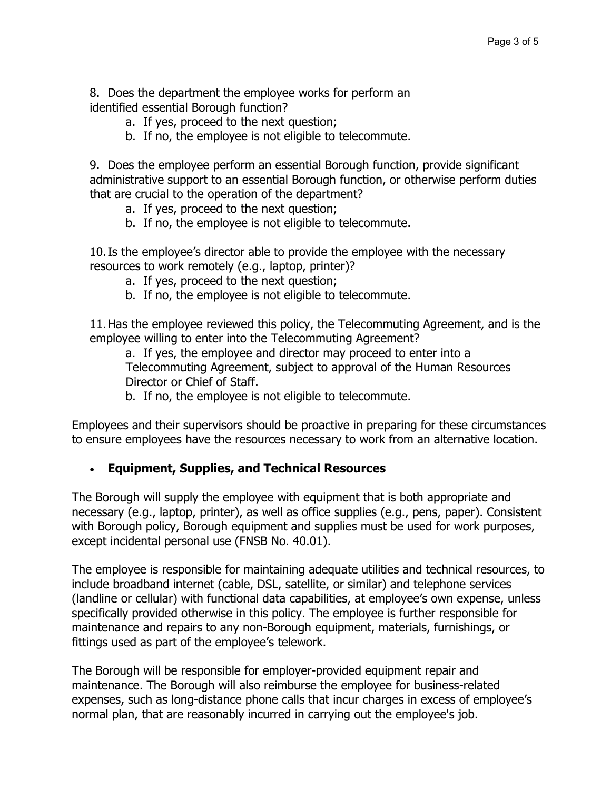8. Does the department the employee works for perform an identified essential Borough function?

- a. If yes, proceed to the next question;
- b. If no, the employee is not eligible to telecommute.

9. Does the employee perform an essential Borough function, provide significant administrative support to an essential Borough function, or otherwise perform duties that are crucial to the operation of the department?

- a. If yes, proceed to the next question;
- b. If no, the employee is not eligible to telecommute.

10.Is the employee's director able to provide the employee with the necessary resources to work remotely (e.g., laptop, printer)?

- a. If yes, proceed to the next question;
- b. If no, the employee is not eligible to telecommute.

11.Has the employee reviewed this policy, the Telecommuting Agreement, and is the employee willing to enter into the Telecommuting Agreement?

a. If yes, the employee and director may proceed to enter into a Telecommuting Agreement, subject to approval of the Human Resources Director or Chief of Staff.

b. If no, the employee is not eligible to telecommute.

Employees and their supervisors should be proactive in preparing for these circumstances to ensure employees have the resources necessary to work from an alternative location.

### • **Equipment, Supplies, and Technical Resources**

The Borough will supply the employee with equipment that is both appropriate and necessary (e.g., laptop, printer), as well as office supplies (e.g., pens, paper). Consistent with Borough policy, Borough equipment and supplies must be used for work purposes, except incidental personal use (FNSB No. 40.01).

The employee is responsible for maintaining adequate utilities and technical resources, to include broadband internet (cable, DSL, satellite, or similar) and telephone services (landline or cellular) with functional data capabilities, at employee's own expense, unless specifically provided otherwise in this policy. The employee is further responsible for maintenance and repairs to any non-Borough equipment, materials, furnishings, or fittings used as part of the employee's telework.

The Borough will be responsible for employer-provided equipment repair and maintenance. The Borough will also reimburse the employee for business-related expenses, such as long-distance phone calls that incur charges in excess of employee's normal plan, that are reasonably incurred in carrying out the employee's job.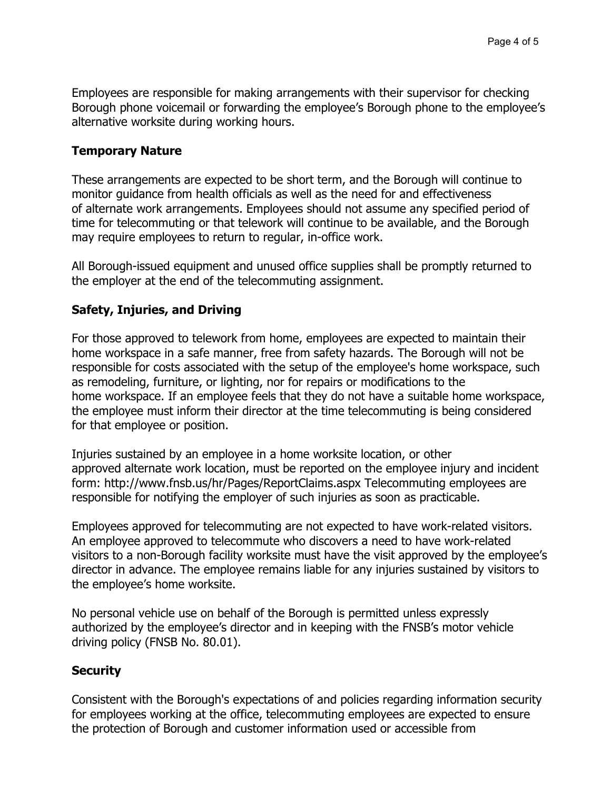Employees are responsible for making arrangements with their supervisor for checking Borough phone voicemail or forwarding the employee's Borough phone to the employee's alternative worksite during working hours.

#### **Temporary Nature**

These arrangements are expected to be short term, and the Borough will continue to monitor guidance from health officials as well as the need for and effectiveness of alternate work arrangements. Employees should not assume any specified period of time for telecommuting or that telework will continue to be available, and the Borough may require employees to return to regular, in-office work.

All Borough-issued equipment and unused office supplies shall be promptly returned to the employer at the end of the telecommuting assignment.

### **Safety, Injuries, and Driving**

For those approved to telework from home, employees are expected to maintain their home workspace in a safe manner, free from safety hazards. The Borough will not be responsible for costs associated with the setup of the employee's home workspace, such as remodeling, furniture, or lighting, nor for repairs or modifications to the home workspace. If an employee feels that they do not have a suitable home workspace, the employee must inform their director at the time telecommuting is being considered for that employee or position.

Injuries sustained by an employee in a home worksite location, or other approved alternate work location, must be reported on the employee injury and incident form: http://www.fnsb.us/hr/Pages/ReportClaims.aspx Telecommuting employees are responsible for notifying the employer of such injuries as soon as practicable.

Employees approved for telecommuting are not expected to have work-related visitors. An employee approved to telecommute who discovers a need to have work-related visitors to a non-Borough facility worksite must have the visit approved by the employee's director in advance. The employee remains liable for any injuries sustained by visitors to the employee's home worksite.

No personal vehicle use on behalf of the Borough is permitted unless expressly authorized by the employee's director and in keeping with the FNSB's motor vehicle driving policy (FNSB No. 80.01).

### **Security**

Consistent with the Borough's expectations of and policies regarding information security for employees working at the office, telecommuting employees are expected to ensure the protection of Borough and customer information used or accessible from